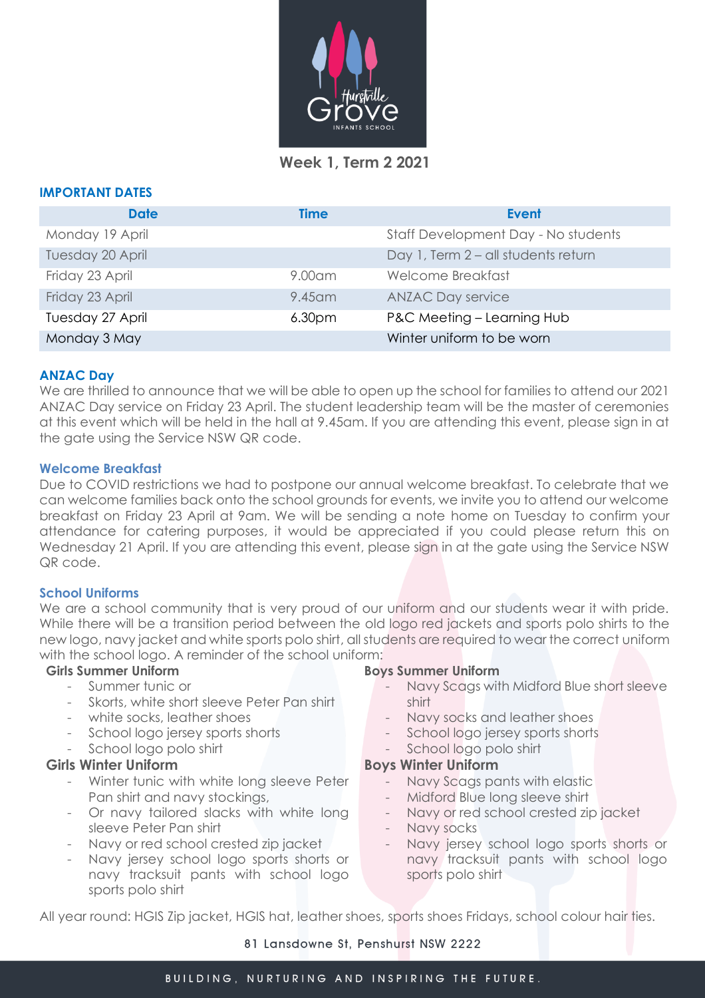

 **Week 1, Term 2 2021**

#### **IMPORTANT DATES**

| <b>Date</b>      | <b>Time</b>        | <b>Event</b>                        |
|------------------|--------------------|-------------------------------------|
| Monday 19 April  |                    | Staff Development Day - No students |
| Tuesday 20 April |                    | Day 1, Term 2 - all students return |
| Friday 23 April  | $9.00$ am          | Welcome Breakfast                   |
| Friday 23 April  | 9.45 am            | <b>ANZAC Day service</b>            |
| Tuesday 27 April | 6.30 <sub>pm</sub> | P&C Meeting - Learning Hub          |
| Monday 3 May     |                    | Winter uniform to be worn           |

# **ANZAC Day**

We are thrilled to announce that we will be able to open up the school for families to attend our 2021 ANZAC Day service on Friday 23 April. The student leadership team will be the master of ceremonies at this event which will be held in the hall at 9.45am. If you are attending this event, please sign in at the gate using the Service NSW QR code.

### **Welcome Breakfast**

Due to COVID restrictions we had to postpone our annual welcome breakfast. To celebrate that we can welcome families back onto the school grounds for events, we invite you to attend our welcome breakfast on Friday 23 April at 9am. We will be sending a note home on Tuesday to confirm your attendance for catering purposes, it would be appreciated if you could please return this on Wednesday 21 April. If you are attending this event, please sign in at the gate using the Service NSW QR code.

### **School Uniforms**

We are a school community that is very proud of our uniform and our students wear it with pride. While there will be a transition period between the old logo red jackets and sports polo shirts to the new logo, navy jacket and white sports polo shirt, all students are required to wear the correct uniform with the school logo. A reminder of the school uniform:

### **Girls Summer Uniform**

- Summer tunic or
- Skorts, white short sleeve Peter Pan shirt
- white socks, leather shoes
- School logo jersey sports shorts
- School logo polo shirt

## **Girls Winter Uniform**

- Winter tunic with white long sleeve Peter Pan shirt and navy stockings,
- Or navy tailored slacks with white long sleeve Peter Pan shirt
- Navy or red school crested zip jacket
- Navy jersey school logo sports shorts or navy tracksuit pants with school logo sports polo shirt

#### **Boys Summer Uniform**

- Navy Scags with Midford Blue short sleeve shirt
- Navy socks and leather shoes
- School logo jersey sports shorts
- School logo polo shirt

### **Boys Winter Uniform**

- Navy Scags pants with elastic
- Midford Blue long sleeve shirt
- Navy or red school crested zip jacket
- Navy socks
- Navy jersey school logo sports shorts or navy tracksuit pants with school logo sports polo shirt

All year round: HGIS Zip jacket, HGIS hat, leather shoes, sports shoes Fridays, school colour hair ties.

#### 81 Lansdowne St, Penshurst NSW 2222